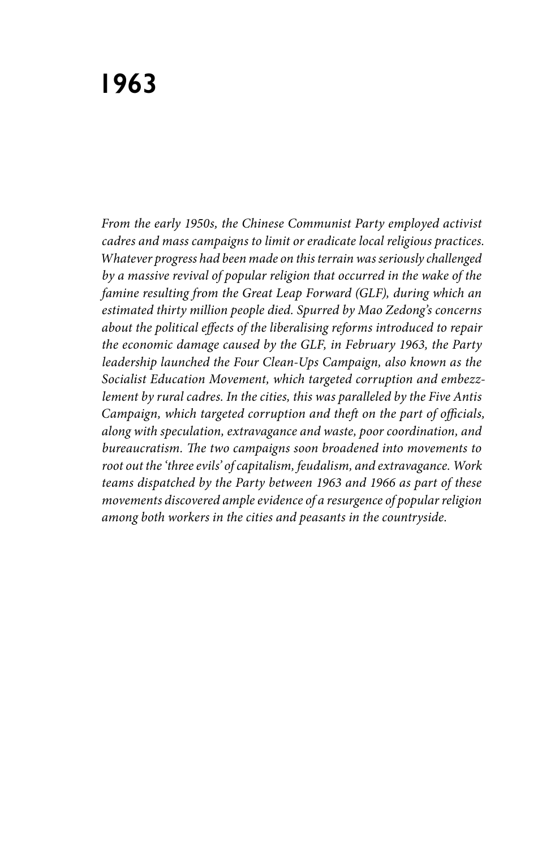*From the early 1950s, the Chinese Communist Party employed activist cadres and mass campaigns to limit or eradicate local religious practices. Whatever progress had been made on this terrain was seriously challenged by a massive revival of popular religion that occurred in the wake of the famine resulting from the Great Leap Forward (GLF), during which an estimated thirty million people died. Spurred by Mao Zedong's concerns about the political effects of the liberalising reforms introduced to repair the economic damage caused by the GLF, in February 1963, the Party leadership launched the Four Clean-Ups Campaign, also known as the Socialist Education Movement, which targeted corruption and embezzlement by rural cadres. In the cities, this was paralleled by the Five Antis Campaign, which targeted corruption and theft on the part of officials, along with speculation, extravagance and waste, poor coordination, and bureaucratism. The two campaigns soon broadened into movements to root out the 'three evils' of capitalism, feudalism, and extravagance. Work teams dispatched by the Party between 1963 and 1966 as part of these movements discovered ample evidence of a resurgence of popular religion among both workers in the cities and peasants in the countryside.*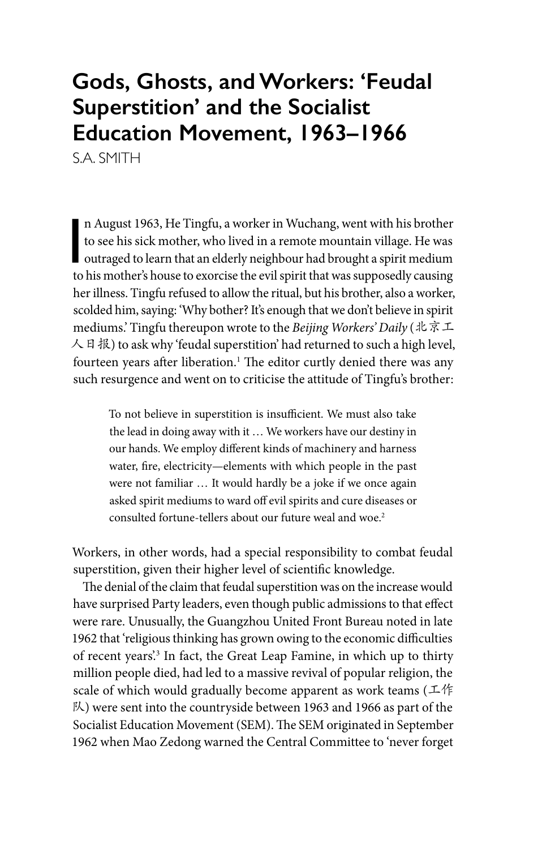## **Gods, Ghosts, and Workers: 'Feudal Superstition' and the Socialist Education Movement, 1963–1966**

S.A. SMITH

n August 1963, He Tingfu, a worker in Wuchang, went with his brother<br>to see his sick mother, who lived in a remote mountain village. He was<br>outraged to learn that an elderly neighbour had brought a spirit medium<br>to bis mot n August 1963, He Tingfu, a worker in Wuchang, went with his brother to see his sick mother, who lived in a remote mountain village. He was to his mother's house to exorcise the evil spirit that was supposedly causing her illness. Tingfu refused to allow the ritual, but his brother, also a worker, scolded him, saying: 'Why bother? It's enough that we don't believe in spirit mediums.' Tingfu thereupon wrote to the *Beijing Workers' Daily* (北京工 人日报) to ask why 'feudal superstition' had returned to such a high level, fourteen years after liberation.<sup>1</sup> The editor curtly denied there was any such resurgence and went on to criticise the attitude of Tingfu's brother:

> To not believe in superstition is insufficient. We must also take the lead in doing away with it … We workers have our destiny in our hands. We employ different kinds of machinery and harness water, fire, electricity—elements with which people in the past were not familiar … It would hardly be a joke if we once again asked spirit mediums to ward off evil spirits and cure diseases or consulted fortune-tellers about our future weal and woe.<sup>2</sup>

Workers, in other words, had a special responsibility to combat feudal superstition, given their higher level of scientific knowledge.

The denial of the claim that feudal superstition was on the increase would have surprised Party leaders, even though public admissions to that effect were rare. Unusually, the Guangzhou United Front Bureau noted in late 1962 that 'religious thinking has grown owing to the economic difficulties of recent years'.<sup>3</sup> In fact, the Great Leap Famine, in which up to thirty million people died, had led to a massive revival of popular religion, the scale of which would gradually become apparent as work teams (工作 队) were sent into the countryside between 1963 and 1966 as part of the Socialist Education Movement (SEM). The SEM originated in September 1962 when Mao Zedong warned the Central Committee to 'never forget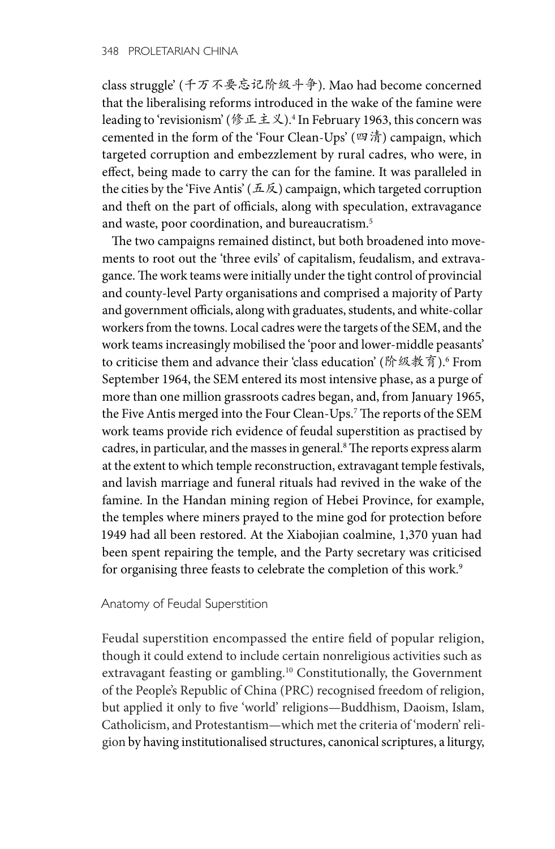class struggle' (千万不要忘记阶级斗争). Mao had become concerned that the liberalising reforms introduced in the wake of the famine were leading to 'revisionism' (修正主义).4 In February 1963, this concern was cemented in the form of the 'Four Clean-Ups' (四清) campaign, which targeted corruption and embezzlement by rural cadres, who were, in effect, being made to carry the can for the famine. It was paralleled in the cities by the 'Five Antis' ( $\pm \not\in$ ) campaign, which targeted corruption and theft on the part of officials, along with speculation, extravagance and waste, poor coordination, and bureaucratism.<sup>5</sup>

The two campaigns remained distinct, but both broadened into movements to root out the 'three evils' of capitalism, feudalism, and extravagance. The work teams were initially under the tight control of provincial and county-level Party organisations and comprised a majority of Party and government officials, along with graduates, students, and white-collar workers from the towns. Local cadres were the targets of the SEM, and the work teams increasingly mobilised the 'poor and lower-middle peasants' to criticise them and advance their 'class education' (阶级教育).6 From September 1964, the SEM entered its most intensive phase, as a purge of more than one million grassroots cadres began, and, from January 1965, the Five Antis merged into the Four Clean-Ups.7 The reports of the SEM work teams provide rich evidence of feudal superstition as practised by cadres, in particular, and the masses in general.8 The reports express alarm at the extent to which temple reconstruction, extravagant temple festivals, and lavish marriage and funeral rituals had revived in the wake of the famine. In the Handan mining region of Hebei Province, for example, the temples where miners prayed to the mine god for protection before 1949 had all been restored. At the Xiabojian coalmine, 1,370 yuan had been spent repairing the temple, and the Party secretary was criticised for organising three feasts to celebrate the completion of this work.<sup>9</sup>

## Anatomy of Feudal Superstition

Feudal superstition encompassed the entire field of popular religion, though it could extend to include certain nonreligious activities such as extravagant feasting or gambling.10 Constitutionally, the Government of the People's Republic of China (PRC) recognised freedom of religion, but applied it only to five 'world' religions—Buddhism, Daoism, Islam, Catholicism, and Protestantism—which met the criteria of 'modern' religion by having institutionalised structures, canonical scriptures, a liturgy,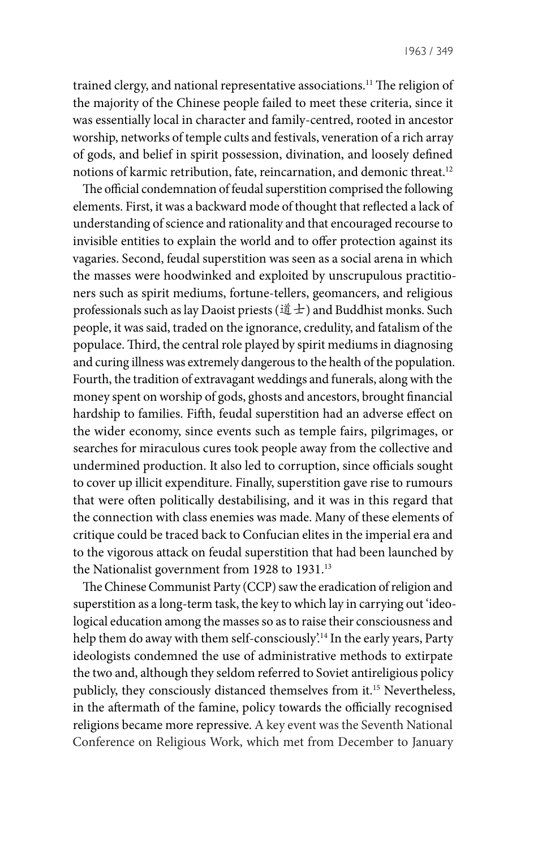trained clergy, and national representative associations.11 The religion of the majority of the Chinese people failed to meet these criteria, since it was essentially local in character and family-centred, rooted in ancestor worship, networks of temple cults and festivals, veneration of a rich array of gods, and belief in spirit possession, divination, and loosely defined notions of karmic retribution, fate, reincarnation, and demonic threat.12

The official condemnation of feudal superstition comprised the following elements. First, it was a backward mode of thought that reflected a lack of understanding of science and rationality and that encouraged recourse to invisible entities to explain the world and to offer protection against its vagaries. Second, feudal superstition was seen as a social arena in which the masses were hoodwinked and exploited by unscrupulous practitioners such as spirit mediums, fortune-tellers, geomancers, and religious professionals such as lay Daoist priests (道士) and Buddhist monks. Such people, it was said, traded on the ignorance, credulity, and fatalism of the populace. Third, the central role played by spirit mediums in diagnosing and curing illness was extremely dangerous to the health of the population. Fourth, the tradition of extravagant weddings and funerals, along with the money spent on worship of gods, ghosts and ancestors, brought financial hardship to families. Fifth, feudal superstition had an adverse effect on the wider economy, since events such as temple fairs, pilgrimages, or searches for miraculous cures took people away from the collective and undermined production. It also led to corruption, since officials sought to cover up illicit expenditure. Finally, superstition gave rise to rumours that were often politically destabilising, and it was in this regard that the connection with class enemies was made. Many of these elements of critique could be traced back to Confucian elites in the imperial era and to the vigorous attack on feudal superstition that had been launched by the Nationalist government from 1928 to 1931.<sup>13</sup>

The Chinese Communist Party (CCP) saw the eradication of religion and superstition as a long-term task, the key to which lay in carrying out 'ideological education among the masses so as to raise their consciousness and help them do away with them self-consciously<sup>'14</sup> In the early years, Party ideologists condemned the use of administrative methods to extirpate the two and, although they seldom referred to Soviet antireligious policy publicly, they consciously distanced themselves from it.<sup>15</sup> Nevertheless, in the aftermath of the famine, policy towards the officially recognised religions became more repressive. A key event was the Seventh National Conference on Religious Work, which met from December to January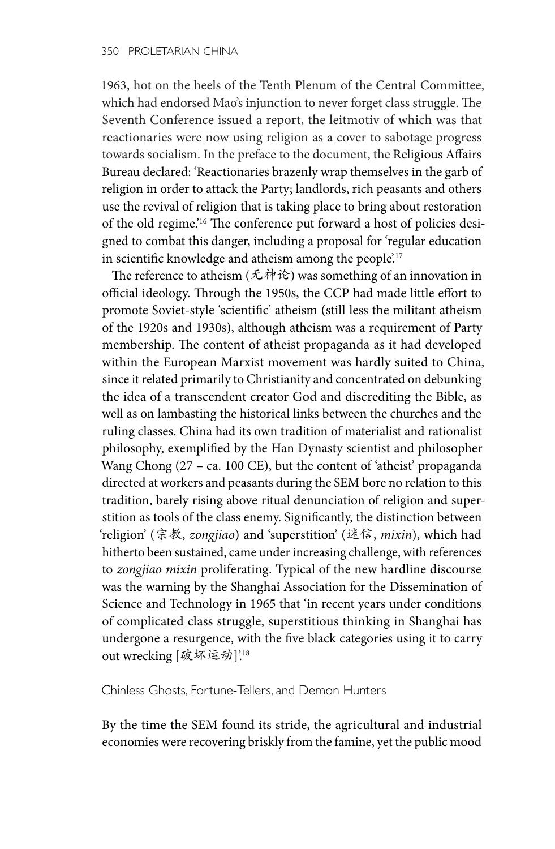1963, hot on the heels of the Tenth Plenum of the Central Committee, which had endorsed Mao's injunction to never forget class struggle. The Seventh Conference issued a report, the leitmotiv of which was that reactionaries were now using religion as a cover to sabotage progress towards socialism. In the preface to the document, the Religious Affairs Bureau declared: 'Reactionaries brazenly wrap themselves in the garb of religion in order to attack the Party; landlords, rich peasants and others use the revival of religion that is taking place to bring about restoration of the old regime.'16 The conference put forward a host of policies designed to combat this danger, including a proposal for 'regular education in scientific knowledge and atheism among the people.<sup>17</sup>

The reference to atheism (无神论) was something of an innovation in official ideology. Through the 1950s, the CCP had made little effort to promote Soviet-style 'scientific' atheism (still less the militant atheism of the 1920s and 1930s), although atheism was a requirement of Party membership. The content of atheist propaganda as it had developed within the European Marxist movement was hardly suited to China, since it related primarily to Christianity and concentrated on debunking the idea of a transcendent creator God and discrediting the Bible, as well as on lambasting the historical links between the churches and the ruling classes. China had its own tradition of materialist and rationalist philosophy, exemplified by the Han Dynasty scientist and philosopher Wang Chong (27 – ca. 100 CE), but the content of 'atheist' propaganda directed at workers and peasants during the SEM bore no relation to this tradition, barely rising above ritual denunciation of religion and superstition as tools of the class enemy. Significantly, the distinction between 'religion' (宗教, *zongjiao*) and 'superstition' (迷信, *mixin*), which had hitherto been sustained, came under increasing challenge, with references to *zongjiao mixin* proliferating. Typical of the new hardline discourse was the warning by the Shanghai Association for the Dissemination of Science and Technology in 1965 that 'in recent years under conditions of complicated class struggle, superstitious thinking in Shanghai has undergone a resurgence, with the five black categories using it to carry out wrecking [破坏运动]'.<sup>18</sup>

Chinless Ghosts, Fortune-Tellers, and Demon Hunters

By the time the SEM found its stride, the agricultural and industrial economies were recovering briskly from the famine, yet the public mood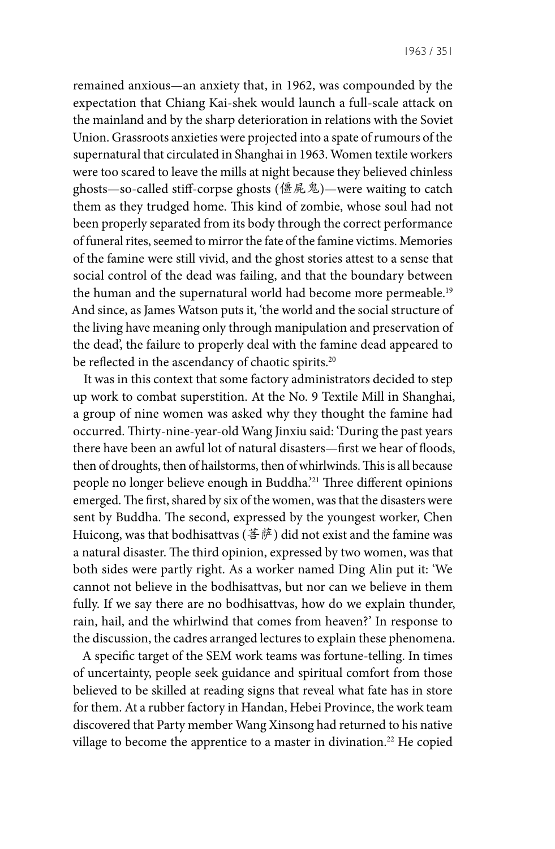remained anxious—an anxiety that, in 1962, was compounded by the expectation that Chiang Kai-shek would launch a full-scale attack on the mainland and by the sharp deterioration in relations with the Soviet Union. Grassroots anxieties were projected into a spate of rumours of the supernatural that circulated in Shanghai in 1963. Women textile workers were too scared to leave the mills at night because they believed chinless ghosts—so-called stiff-corpse ghosts (僵屍鬼)—were waiting to catch them as they trudged home. This kind of zombie, whose soul had not been properly separated from its body through the correct performance of funeral rites, seemed to mirror the fate of the famine victims. Memories of the famine were still vivid, and the ghost stories attest to a sense that social control of the dead was failing, and that the boundary between the human and the supernatural world had become more permeable.<sup>19</sup> And since, as James Watson puts it, 'the world and the social structure of the living have meaning only through manipulation and preservation of the dead', the failure to properly deal with the famine dead appeared to be reflected in the ascendancy of chaotic spirits.<sup>20</sup>

It was in this context that some factory administrators decided to step up work to combat superstition. At the No. 9 Textile Mill in Shanghai, a group of nine women was asked why they thought the famine had occurred. Thirty-nine-year-old Wang Jinxiu said: 'During the past years there have been an awful lot of natural disasters—first we hear of floods, then of droughts, then of hailstorms, then of whirlwinds. This is all because people no longer believe enough in Buddha.'21 Three different opinions emerged. The first, shared by six of the women, was that the disasters were sent by Buddha. The second, expressed by the youngest worker, Chen Huicong, was that bodhisattvas (菩萨) did not exist and the famine was a natural disaster. The third opinion, expressed by two women, was that both sides were partly right. As a worker named Ding Alin put it: 'We cannot not believe in the bodhisattvas, but nor can we believe in them fully. If we say there are no bodhisattvas, how do we explain thunder, rain, hail, and the whirlwind that comes from heaven?' In response to the discussion, the cadres arranged lectures to explain these phenomena.

A specific target of the SEM work teams was fortune-telling. In times of uncertainty, people seek guidance and spiritual comfort from those believed to be skilled at reading signs that reveal what fate has in store for them. At a rubber factory in Handan, Hebei Province, the work team discovered that Party member Wang Xinsong had returned to his native village to become the apprentice to a master in divination.<sup>22</sup> He copied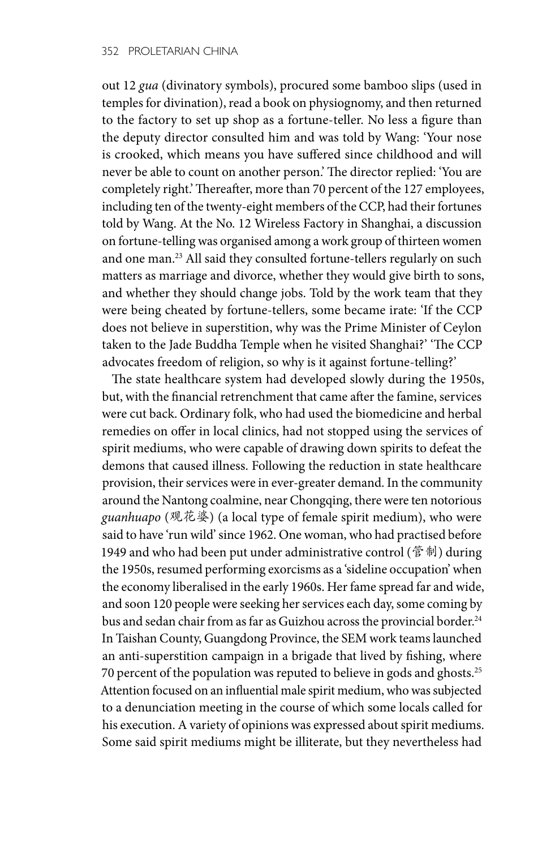out 12 *gua* (divinatory symbols), procured some bamboo slips (used in temples for divination), read a book on physiognomy, and then returned to the factory to set up shop as a fortune-teller. No less a figure than the deputy director consulted him and was told by Wang: 'Your nose is crooked, which means you have suffered since childhood and will never be able to count on another person.' The director replied: 'You are completely right.' Thereafter, more than 70 percent of the 127 employees, including ten of the twenty-eight members of the CCP, had their fortunes told by Wang. At the No. 12 Wireless Factory in Shanghai, a discussion on fortune-telling was organised among a work group of thirteen women and one man.23 All said they consulted fortune-tellers regularly on such matters as marriage and divorce, whether they would give birth to sons, and whether they should change jobs. Told by the work team that they were being cheated by fortune-tellers, some became irate: 'If the CCP does not believe in superstition, why was the Prime Minister of Ceylon taken to the Jade Buddha Temple when he visited Shanghai?' 'The CCP advocates freedom of religion, so why is it against fortune-telling?'

The state healthcare system had developed slowly during the 1950s, but, with the financial retrenchment that came after the famine, services were cut back. Ordinary folk, who had used the biomedicine and herbal remedies on offer in local clinics, had not stopped using the services of spirit mediums, who were capable of drawing down spirits to defeat the demons that caused illness. Following the reduction in state healthcare provision, their services were in ever-greater demand. In the community around the Nantong coalmine, near Chongqing, there were ten notorious *guanhuapo* (观花婆) (a local type of female spirit medium), who were said to have 'run wild' since 1962. One woman, who had practised before 1949 and who had been put under administrative control (管制) during the 1950s, resumed performing exorcisms as a 'sideline occupation' when the economy liberalised in the early 1960s. Her fame spread far and wide, and soon 120 people were seeking her services each day, some coming by bus and sedan chair from as far as Guizhou across the provincial border.<sup>24</sup> In Taishan County, Guangdong Province, the SEM work teams launched an anti-superstition campaign in a brigade that lived by fishing, where 70 percent of the population was reputed to believe in gods and ghosts.25 Attention focused on an influential male spirit medium, who was subjected to a denunciation meeting in the course of which some locals called for his execution. A variety of opinions was expressed about spirit mediums. Some said spirit mediums might be illiterate, but they nevertheless had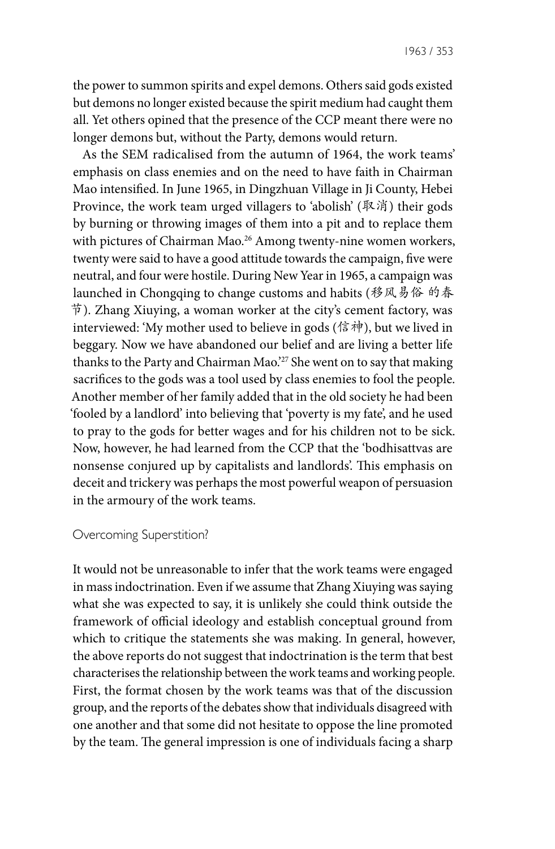the power to summon spirits and expel demons. Others said gods existed but demons no longer existed because the spirit medium had caught them all. Yet others opined that the presence of the CCP meant there were no longer demons but, without the Party, demons would return.

As the SEM radicalised from the autumn of 1964, the work teams' emphasis on class enemies and on the need to have faith in Chairman Mao intensified. In June 1965, in Dingzhuan Village in Ji County, Hebei Province, the work team urged villagers to 'abolish' (取消) their gods by burning or throwing images of them into a pit and to replace them with pictures of Chairman Mao.<sup>26</sup> Among twenty-nine women workers, twenty were said to have a good attitude towards the campaign, five were neutral, and four were hostile. During New Year in 1965, a campaign was launched in Chongqing to change customs and habits (移风易俗 的春 节). Zhang Xiuying, a woman worker at the city's cement factory, was interviewed: 'My mother used to believe in gods (信神), but we lived in beggary. Now we have abandoned our belief and are living a better life thanks to the Party and Chairman Mao.'27 She went on to say that making sacrifices to the gods was a tool used by class enemies to fool the people. Another member of her family added that in the old society he had been 'fooled by a landlord' into believing that 'poverty is my fate', and he used to pray to the gods for better wages and for his children not to be sick. Now, however, he had learned from the CCP that the 'bodhisattvas are nonsense conjured up by capitalists and landlords'. This emphasis on deceit and trickery was perhaps the most powerful weapon of persuasion in the armoury of the work teams.

## Overcoming Superstition?

It would not be unreasonable to infer that the work teams were engaged in mass indoctrination. Even if we assume that Zhang Xiuying was saying what she was expected to say, it is unlikely she could think outside the framework of official ideology and establish conceptual ground from which to critique the statements she was making. In general, however, the above reports do not suggest that indoctrination is the term that best characterises the relationship between the work teams and working people. First, the format chosen by the work teams was that of the discussion group, and the reports of the debates show that individuals disagreed with one another and that some did not hesitate to oppose the line promoted by the team. The general impression is one of individuals facing a sharp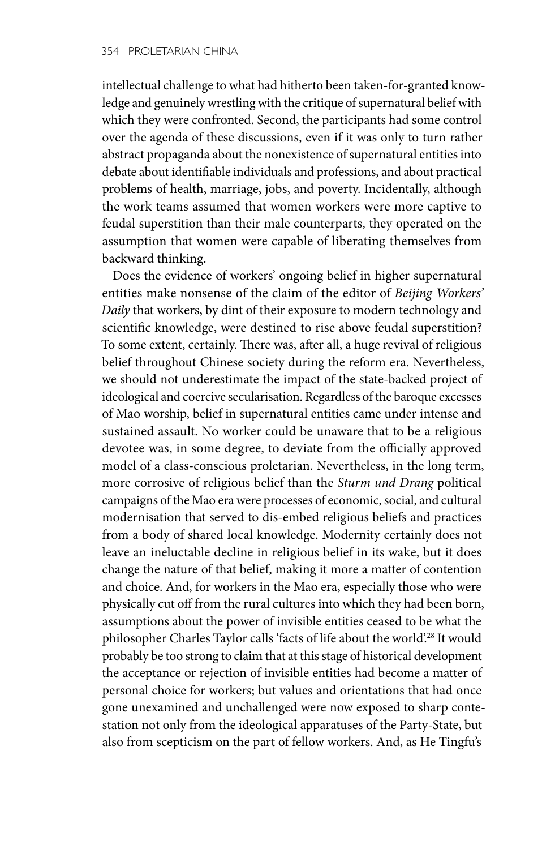intellectual challenge to what had hitherto been taken-for-granted knowledge and genuinely wrestling with the critique of supernatural belief with which they were confronted. Second, the participants had some control over the agenda of these discussions, even if it was only to turn rather abstract propaganda about the nonexistence of supernatural entities into debate about identifiable individuals and professions, and about practical problems of health, marriage, jobs, and poverty. Incidentally, although the work teams assumed that women workers were more captive to feudal superstition than their male counterparts, they operated on the assumption that women were capable of liberating themselves from backward thinking.

Does the evidence of workers' ongoing belief in higher supernatural entities make nonsense of the claim of the editor of *Beijing Workers' Daily* that workers, by dint of their exposure to modern technology and scientific knowledge, were destined to rise above feudal superstition? To some extent, certainly. There was, after all, a huge revival of religious belief throughout Chinese society during the reform era. Nevertheless, we should not underestimate the impact of the state-backed project of ideological and coercive secularisation. Regardless of the baroque excesses of Mao worship, belief in supernatural entities came under intense and sustained assault. No worker could be unaware that to be a religious devotee was, in some degree, to deviate from the officially approved model of a class-conscious proletarian. Nevertheless, in the long term, more corrosive of religious belief than the *Sturm und Drang* political campaigns of the Mao era were processes of economic, social, and cultural modernisation that served to dis-embed religious beliefs and practices from a body of shared local knowledge. Modernity certainly does not leave an ineluctable decline in religious belief in its wake, but it does change the nature of that belief, making it more a matter of contention and choice. And, for workers in the Mao era, especially those who were physically cut off from the rural cultures into which they had been born, assumptions about the power of invisible entities ceased to be what the philosopher Charles Taylor calls 'facts of life about the world'.28 It would probably be too strong to claim that at this stage of historical development the acceptance or rejection of invisible entities had become a matter of personal choice for workers; but values and orientations that had once gone unexamined and unchallenged were now exposed to sharp contestation not only from the ideological apparatuses of the Party-State, but also from scepticism on the part of fellow workers. And, as He Tingfu's